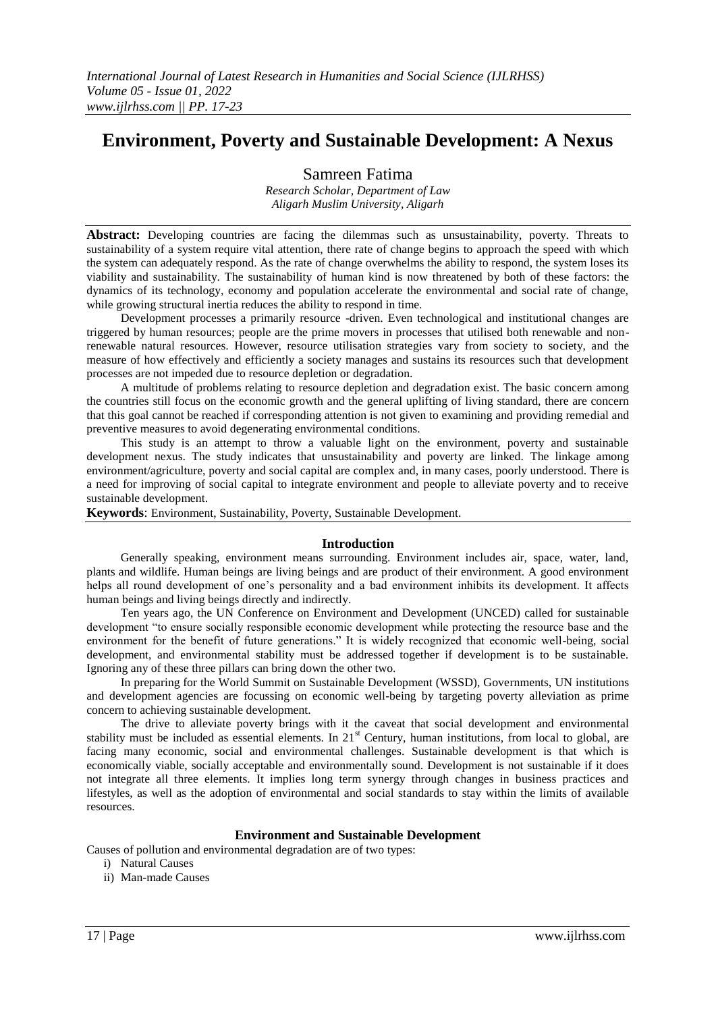# **Environment, Poverty and Sustainable Development: A Nexus**

Samreen Fatima

*Research Scholar, Department of Law Aligarh Muslim University, Aligarh*

**Abstract:** Developing countries are facing the dilemmas such as unsustainability, poverty. Threats to sustainability of a system require vital attention, there rate of change begins to approach the speed with which the system can adequately respond. As the rate of change overwhelms the ability to respond, the system loses its viability and sustainability. The sustainability of human kind is now threatened by both of these factors: the dynamics of its technology, economy and population accelerate the environmental and social rate of change, while growing structural inertia reduces the ability to respond in time.

Development processes a primarily resource -driven. Even technological and institutional changes are triggered by human resources; people are the prime movers in processes that utilised both renewable and nonrenewable natural resources. However, resource utilisation strategies vary from society to society, and the measure of how effectively and efficiently a society manages and sustains its resources such that development processes are not impeded due to resource depletion or degradation.

A multitude of problems relating to resource depletion and degradation exist. The basic concern among the countries still focus on the economic growth and the general uplifting of living standard, there are concern that this goal cannot be reached if corresponding attention is not given to examining and providing remedial and preventive measures to avoid degenerating environmental conditions.

This study is an attempt to throw a valuable light on the environment, poverty and sustainable development nexus. The study indicates that unsustainability and poverty are linked. The linkage among environment/agriculture, poverty and social capital are complex and, in many cases, poorly understood. There is a need for improving of social capital to integrate environment and people to alleviate poverty and to receive sustainable development.

**Keywords**: Environment, Sustainability, Poverty, Sustainable Development.

### **Introduction**

Generally speaking, environment means surrounding. Environment includes air, space, water, land, plants and wildlife. Human beings are living beings and are product of their environment. A good environment helps all round development of one's personality and a bad environment inhibits its development. It affects human beings and living beings directly and indirectly.

Ten years ago, the UN Conference on Environment and Development (UNCED) called for sustainable development "to ensure socially responsible economic development while protecting the resource base and the environment for the benefit of future generations." It is widely recognized that economic well-being, social development, and environmental stability must be addressed together if development is to be sustainable. Ignoring any of these three pillars can bring down the other two.

In preparing for the World Summit on Sustainable Development (WSSD), Governments, UN institutions and development agencies are focussing on economic well-being by targeting poverty alleviation as prime concern to achieving sustainable development.

The drive to alleviate poverty brings with it the caveat that social development and environmental stability must be included as essential elements. In  $21<sup>st</sup>$  Century, human institutions, from local to global, are facing many economic, social and environmental challenges. Sustainable development is that which is economically viable, socially acceptable and environmentally sound. Development is not sustainable if it does not integrate all three elements. It implies long term synergy through changes in business practices and lifestyles, as well as the adoption of environmental and social standards to stay within the limits of available resources.

### **Environment and Sustainable Development**

Causes of pollution and environmental degradation are of two types:

- i) Natural Causes
- ii) Man-made Causes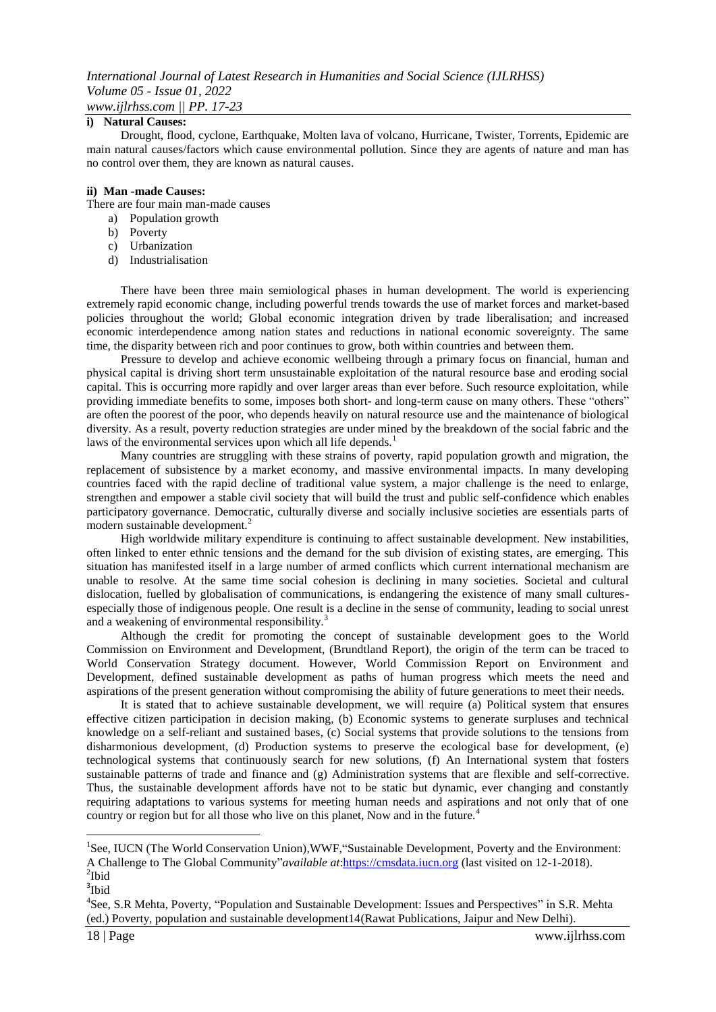### **i) Natural Causes:**

Drought, flood, cyclone, Earthquake, Molten lava of volcano, Hurricane, Twister, Torrents, Epidemic are main natural causes/factors which cause environmental pollution. Since they are agents of nature and man has no control over them, they are known as natural causes.

#### **ii) Man -made Causes:**

There are four main man-made causes

- a) Population growth
- b) Poverty
- c) Urbanization
- d) Industrialisation

There have been three main semiological phases in human development. The world is experiencing extremely rapid economic change, including powerful trends towards the use of market forces and market-based policies throughout the world; Global economic integration driven by trade liberalisation; and increased economic interdependence among nation states and reductions in national economic sovereignty. The same time, the disparity between rich and poor continues to grow, both within countries and between them.

Pressure to develop and achieve economic wellbeing through a primary focus on financial, human and physical capital is driving short term unsustainable exploitation of the natural resource base and eroding social capital. This is occurring more rapidly and over larger areas than ever before. Such resource exploitation, while providing immediate benefits to some, imposes both short- and long-term cause on many others. These "others" are often the poorest of the poor, who depends heavily on natural resource use and the maintenance of biological diversity. As a result, poverty reduction strategies are under mined by the breakdown of the social fabric and the laws of the environmental services upon which all life depends.<sup>1</sup>

Many countries are struggling with these strains of poverty, rapid population growth and migration, the replacement of subsistence by a market economy, and massive environmental impacts. In many developing countries faced with the rapid decline of traditional value system, a major challenge is the need to enlarge, strengthen and empower a stable civil society that will build the trust and public self-confidence which enables participatory governance. Democratic, culturally diverse and socially inclusive societies are essentials parts of modern sustainable development.<sup>2</sup>

High worldwide military expenditure is continuing to affect sustainable development. New instabilities, often linked to enter ethnic tensions and the demand for the sub division of existing states, are emerging. This situation has manifested itself in a large number of armed conflicts which current international mechanism are unable to resolve. At the same time social cohesion is declining in many societies. Societal and cultural dislocation, fuelled by globalisation of communications, is endangering the existence of many small culturesespecially those of indigenous people. One result is a decline in the sense of community, leading to social unrest and a weakening of environmental responsibility.<sup>3</sup>

Although the credit for promoting the concept of sustainable development goes to the World Commission on Environment and Development, (Brundtland Report), the origin of the term can be traced to World Conservation Strategy document. However, World Commission Report on Environment and Development, defined sustainable development as paths of human progress which meets the need and aspirations of the present generation without compromising the ability of future generations to meet their needs.

It is stated that to achieve sustainable development, we will require (a) Political system that ensures effective citizen participation in decision making, (b) Economic systems to generate surpluses and technical knowledge on a self-reliant and sustained bases, (c) Social systems that provide solutions to the tensions from disharmonious development, (d) Production systems to preserve the ecological base for development, (e) technological systems that continuously search for new solutions, (f) An International system that fosters sustainable patterns of trade and finance and (g) Administration systems that are flexible and self-corrective. Thus, the sustainable development affords have not to be static but dynamic, ever changing and constantly requiring adaptations to various systems for meeting human needs and aspirations and not only that of one country or region but for all those who live on this planet, Now and in the future.<sup>4</sup>

1

<sup>&</sup>lt;sup>1</sup>See, IUCN (The World Conservation Union), WWF, "Sustainable Development, Poverty and the Environment: A Challenge to The Global Community"*available at*[:https://cmsdata.iucn.org](https://cmsdata.iucn.org/) (last visited on 12-1-2018). <sup>2</sup>Ibid

<sup>3</sup> Ibid

<sup>&</sup>lt;sup>4</sup>See, S.R Mehta, Poverty, "Population and Sustainable Development: Issues and Perspectives" in S.R. Mehta (ed.) Poverty, population and sustainable development14(Rawat Publications, Jaipur and New Delhi).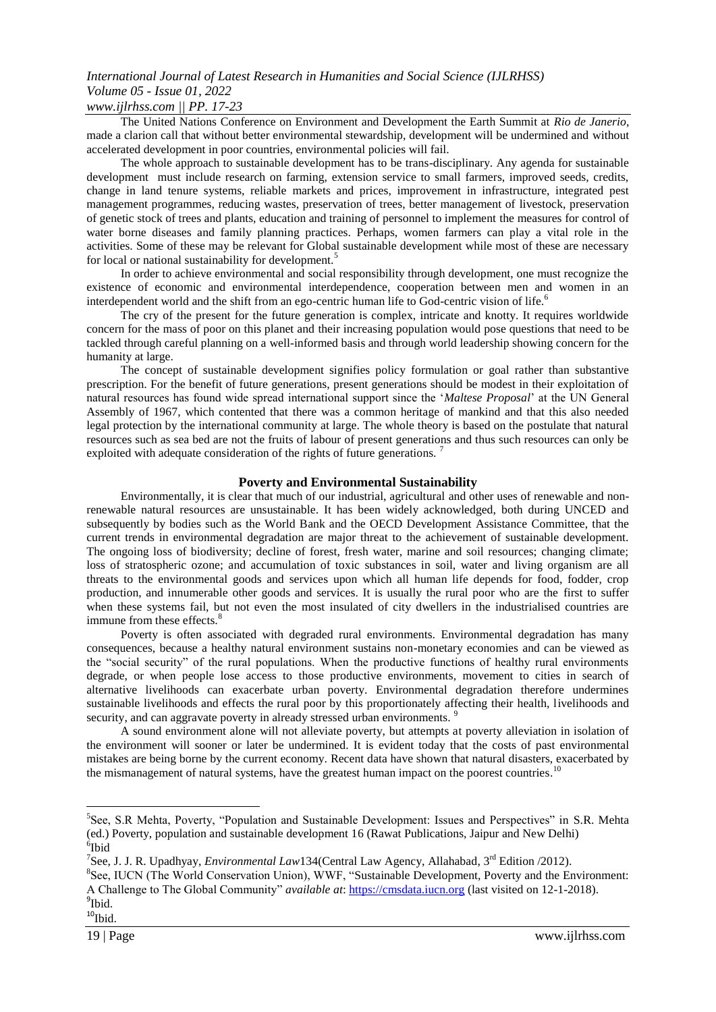## *International Journal of Latest Research in Humanities and Social Science (IJLRHSS) Volume 05 - Issue 01, 2022*

### *www.ijlrhss.com || PP. 17-23*

The United Nations Conference on Environment and Development the Earth Summit at *Rio de Janerio*, made a clarion call that without better environmental stewardship, development will be undermined and without accelerated development in poor countries, environmental policies will fail.

The whole approach to sustainable development has to be trans-disciplinary. Any agenda for sustainable development must include research on farming, extension service to small farmers, improved seeds, credits, change in land tenure systems, reliable markets and prices, improvement in infrastructure, integrated pest management programmes, reducing wastes, preservation of trees, better management of livestock, preservation of genetic stock of trees and plants, education and training of personnel to implement the measures for control of water borne diseases and family planning practices. Perhaps, women farmers can play a vital role in the activities. Some of these may be relevant for Global sustainable development while most of these are necessary for local or national sustainability for development.<sup>5</sup>

In order to achieve environmental and social responsibility through development, one must recognize the existence of economic and environmental interdependence, cooperation between men and women in an interdependent world and the shift from an ego-centric human life to God-centric vision of life.<sup>6</sup>

The cry of the present for the future generation is complex, intricate and knotty. It requires worldwide concern for the mass of poor on this planet and their increasing population would pose questions that need to be tackled through careful planning on a well-informed basis and through world leadership showing concern for the humanity at large.

The concept of sustainable development signifies policy formulation or goal rather than substantive prescription. For the benefit of future generations, present generations should be modest in their exploitation of natural resources has found wide spread international support since the "*Maltese Proposal*" at the UN General Assembly of 1967, which contented that there was a common heritage of mankind and that this also needed legal protection by the international community at large. The whole theory is based on the postulate that natural resources such as sea bed are not the fruits of labour of present generations and thus such resources can only be exploited with adequate consideration of the rights of future generations.<sup>7</sup>

### **Poverty and Environmental Sustainability**

Environmentally, it is clear that much of our industrial, agricultural and other uses of renewable and nonrenewable natural resources are unsustainable. It has been widely acknowledged, both during UNCED and subsequently by bodies such as the World Bank and the OECD Development Assistance Committee, that the current trends in environmental degradation are major threat to the achievement of sustainable development. The ongoing loss of biodiversity; decline of forest, fresh water, marine and soil resources; changing climate; loss of stratospheric ozone; and accumulation of toxic substances in soil, water and living organism are all threats to the environmental goods and services upon which all human life depends for food, fodder, crop production, and innumerable other goods and services. It is usually the rural poor who are the first to suffer when these systems fail, but not even the most insulated of city dwellers in the industrialised countries are immune from these effects.<sup>8</sup>

Poverty is often associated with degraded rural environments. Environmental degradation has many consequences, because a healthy natural environment sustains non-monetary economies and can be viewed as the "social security" of the rural populations. When the productive functions of healthy rural environments degrade, or when people lose access to those productive environments, movement to cities in search of alternative livelihoods can exacerbate urban poverty. Environmental degradation therefore undermines sustainable livelihoods and effects the rural poor by this proportionately affecting their health, livelihoods and security, and can aggravate poverty in already stressed urban environments.<sup>9</sup>

A sound environment alone will not alleviate poverty, but attempts at poverty alleviation in isolation of the environment will sooner or later be undermined. It is evident today that the costs of past environmental mistakes are being borne by the current economy. Recent data have shown that natural disasters, exacerbated by the mismanagement of natural systems, have the greatest human impact on the poorest countries.<sup>10</sup>

 $10$ Ibid.

1

<sup>&</sup>lt;sup>5</sup>See, S.R Mehta, Poverty, "Population and Sustainable Development: Issues and Perspectives" in S.R. Mehta (ed.) Poverty, population and sustainable development 16 (Rawat Publications, Jaipur and New Delhi) 6 Ibid

<sup>&</sup>lt;sup>7</sup>See, J. J. R. Upadhyay, *Environmental Law* 134(Central Law Agency, Allahabad, 3<sup>rd</sup> Edition /2012).

<sup>&</sup>lt;sup>8</sup>See, IUCN (The World Conservation Union), WWF, "Sustainable Development, Poverty and the Environment: A Challenge to The Global Community" *available at*: [https://cmsdata.iucn.org](https://cmsdata.iucn.org/) (last visited on 12-1-2018). <sup>9</sup>Ibid.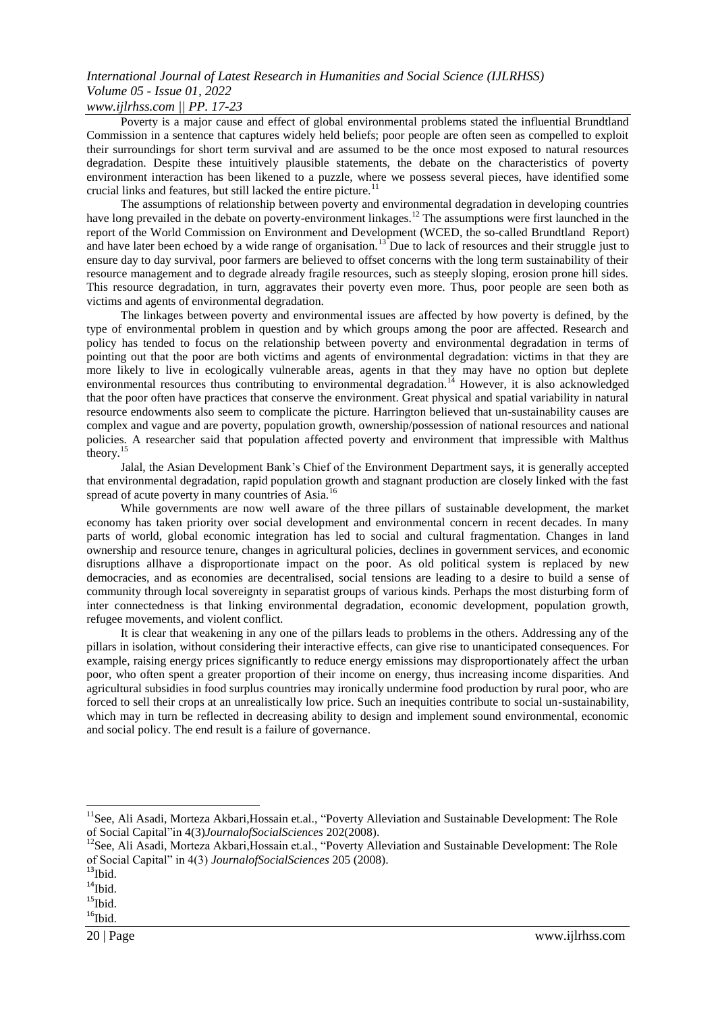# *International Journal of Latest Research in Humanities and Social Science (IJLRHSS) Volume 05 - Issue 01, 2022*

*www.ijlrhss.com || PP. 17-23*

Poverty is a major cause and effect of global environmental problems stated the influential Brundtland Commission in a sentence that captures widely held beliefs; poor people are often seen as compelled to exploit their surroundings for short term survival and are assumed to be the once most exposed to natural resources degradation. Despite these intuitively plausible statements, the debate on the characteristics of poverty environment interaction has been likened to a puzzle, where we possess several pieces, have identified some crucial links and features, but still lacked the entire picture.<sup>11</sup>

The assumptions of relationship between poverty and environmental degradation in developing countries have long prevailed in the debate on poverty-environment linkages.<sup>12</sup> The assumptions were first launched in the report of the World Commission on Environment and Development (WCED, the so-called Brundtland Report) and have later been echoed by a wide range of organisation.<sup>13</sup> Due to lack of resources and their struggle just to ensure day to day survival, poor farmers are believed to offset concerns with the long term sustainability of their resource management and to degrade already fragile resources, such as steeply sloping, erosion prone hill sides. This resource degradation, in turn, aggravates their poverty even more. Thus, poor people are seen both as victims and agents of environmental degradation.

The linkages between poverty and environmental issues are affected by how poverty is defined, by the type of environmental problem in question and by which groups among the poor are affected. Research and policy has tended to focus on the relationship between poverty and environmental degradation in terms of pointing out that the poor are both victims and agents of environmental degradation: victims in that they are more likely to live in ecologically vulnerable areas, agents in that they may have no option but deplete environmental resources thus contributing to environmental degradation.<sup>14</sup> However, it is also acknowledged that the poor often have practices that conserve the environment. Great physical and spatial variability in natural resource endowments also seem to complicate the picture. Harrington believed that un-sustainability causes are complex and vague and are poverty, population growth, ownership/possession of national resources and national policies. A researcher said that population affected poverty and environment that impressible with Malthus  $the$ ory.<sup>1</sup>

Jalal, the Asian Development Bank"s Chief of the Environment Department says, it is generally accepted that environmental degradation, rapid population growth and stagnant production are closely linked with the fast spread of acute poverty in many countries of Asia.<sup>16</sup>

While governments are now well aware of the three pillars of sustainable development, the market economy has taken priority over social development and environmental concern in recent decades. In many parts of world, global economic integration has led to social and cultural fragmentation. Changes in land ownership and resource tenure, changes in agricultural policies, declines in government services, and economic disruptions allhave a disproportionate impact on the poor. As old political system is replaced by new democracies, and as economies are decentralised, social tensions are leading to a desire to build a sense of community through local sovereignty in separatist groups of various kinds. Perhaps the most disturbing form of inter connectedness is that linking environmental degradation, economic development, population growth, refugee movements, and violent conflict.

It is clear that weakening in any one of the pillars leads to problems in the others. Addressing any of the pillars in isolation, without considering their interactive effects, can give rise to unanticipated consequences. For example, raising energy prices significantly to reduce energy emissions may disproportionately affect the urban poor, who often spent a greater proportion of their income on energy, thus increasing income disparities. And agricultural subsidies in food surplus countries may ironically undermine food production by rural poor, who are forced to sell their crops at an unrealistically low price. Such an inequities contribute to social un-sustainability, which may in turn be reflected in decreasing ability to design and implement sound environmental, economic and social policy. The end result is a failure of governance.

 $\overline{a}$ 

 $16$ Ibid.

<sup>&</sup>lt;sup>11</sup>See, Ali Asadi, Morteza Akbari, Hossain et.al., "Poverty Alleviation and Sustainable Development: The Role of Social Capital"in 4(3)*JournalofSocialSciences* 202(2008).

<sup>&</sup>lt;sup>12</sup>See, Ali Asadi, Morteza Akbari, Hossain et.al., "Poverty Alleviation and Sustainable Development: The Role of Social Capital" in 4(3) *JournalofSocialSciences* 205 (2008).

 $\rm ^{13}Ibid.$ 

 $14$ Ibid.

 $\rm ^{15}Ibid.$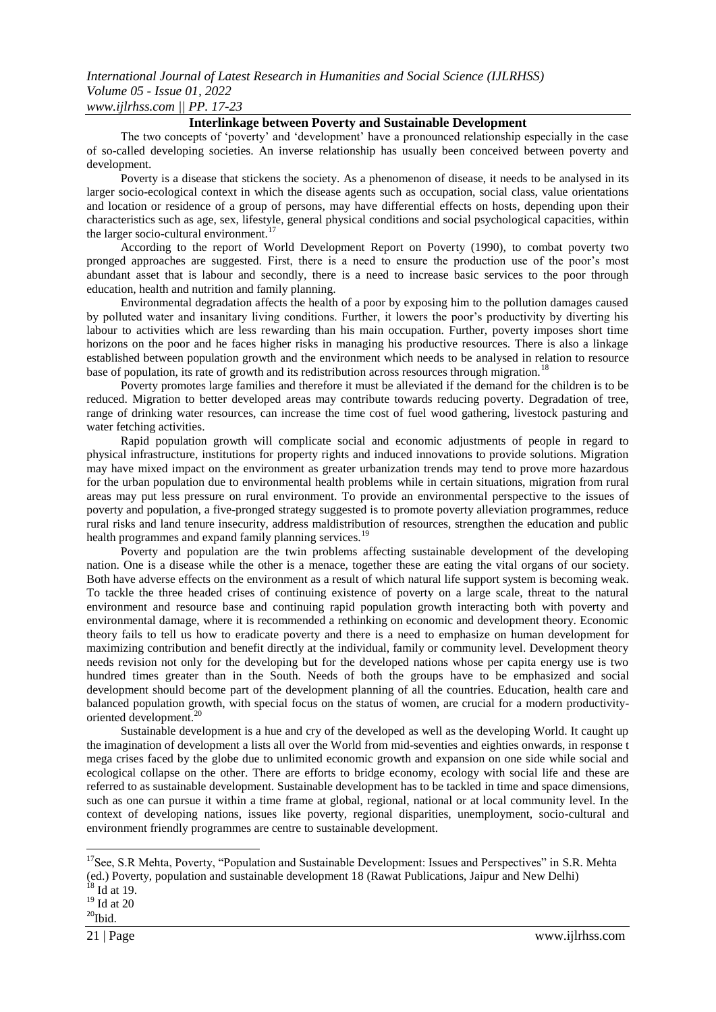### *International Journal of Latest Research in Humanities and Social Science (IJLRHSS) Volume 05 - Issue 01, 2022 www.ijlrhss.com || PP. 17-23*

### **Interlinkage between Poverty and Sustainable Development**

The two concepts of "poverty" and "development" have a pronounced relationship especially in the case of so-called developing societies. An inverse relationship has usually been conceived between poverty and development.

Poverty is a disease that stickens the society. As a phenomenon of disease, it needs to be analysed in its larger socio-ecological context in which the disease agents such as occupation, social class, value orientations and location or residence of a group of persons, may have differential effects on hosts, depending upon their characteristics such as age, sex, lifestyle, general physical conditions and social psychological capacities, within the larger socio-cultural environment.<sup>17</sup>

According to the report of World Development Report on Poverty (1990), to combat poverty two pronged approaches are suggested. First, there is a need to ensure the production use of the poor"s most abundant asset that is labour and secondly, there is a need to increase basic services to the poor through education, health and nutrition and family planning.

Environmental degradation affects the health of a poor by exposing him to the pollution damages caused by polluted water and insanitary living conditions. Further, it lowers the poor"s productivity by diverting his labour to activities which are less rewarding than his main occupation. Further, poverty imposes short time horizons on the poor and he faces higher risks in managing his productive resources. There is also a linkage established between population growth and the environment which needs to be analysed in relation to resource base of population, its rate of growth and its redistribution across resources through migration.<sup>18</sup>

Poverty promotes large families and therefore it must be alleviated if the demand for the children is to be reduced. Migration to better developed areas may contribute towards reducing poverty. Degradation of tree, range of drinking water resources, can increase the time cost of fuel wood gathering, livestock pasturing and water fetching activities.

Rapid population growth will complicate social and economic adjustments of people in regard to physical infrastructure, institutions for property rights and induced innovations to provide solutions. Migration may have mixed impact on the environment as greater urbanization trends may tend to prove more hazardous for the urban population due to environmental health problems while in certain situations, migration from rural areas may put less pressure on rural environment. To provide an environmental perspective to the issues of poverty and population, a five-pronged strategy suggested is to promote poverty alleviation programmes, reduce rural risks and land tenure insecurity, address maldistribution of resources, strengthen the education and public health programmes and expand family planning services.<sup>19</sup>

Poverty and population are the twin problems affecting sustainable development of the developing nation. One is a disease while the other is a menace, together these are eating the vital organs of our society. Both have adverse effects on the environment as a result of which natural life support system is becoming weak. To tackle the three headed crises of continuing existence of poverty on a large scale, threat to the natural environment and resource base and continuing rapid population growth interacting both with poverty and environmental damage, where it is recommended a rethinking on economic and development theory. Economic theory fails to tell us how to eradicate poverty and there is a need to emphasize on human development for maximizing contribution and benefit directly at the individual, family or community level. Development theory needs revision not only for the developing but for the developed nations whose per capita energy use is two hundred times greater than in the South. Needs of both the groups have to be emphasized and social development should become part of the development planning of all the countries. Education, health care and balanced population growth, with special focus on the status of women, are crucial for a modern productivityoriented development.<sup>20</sup>

Sustainable development is a hue and cry of the developed as well as the developing World. It caught up the imagination of development a lists all over the World from mid-seventies and eighties onwards, in response t mega crises faced by the globe due to unlimited economic growth and expansion on one side while social and ecological collapse on the other. There are efforts to bridge economy, ecology with social life and these are referred to as sustainable development. Sustainable development has to be tackled in time and space dimensions, such as one can pursue it within a time frame at global, regional, national or at local community level. In the context of developing nations, issues like poverty, regional disparities, unemployment, socio-cultural and environment friendly programmes are centre to sustainable development.

 $18$  Id at 19.

1

 $^{19}$  Id at 20  $\,$ 

 $20$ Ibid.

<sup>&</sup>lt;sup>17</sup>See, S.R Mehta, Poverty, "Population and Sustainable Development: Issues and Perspectives" in S.R. Mehta (ed.) Poverty, population and sustainable development 18 (Rawat Publications, Jaipur and New Delhi)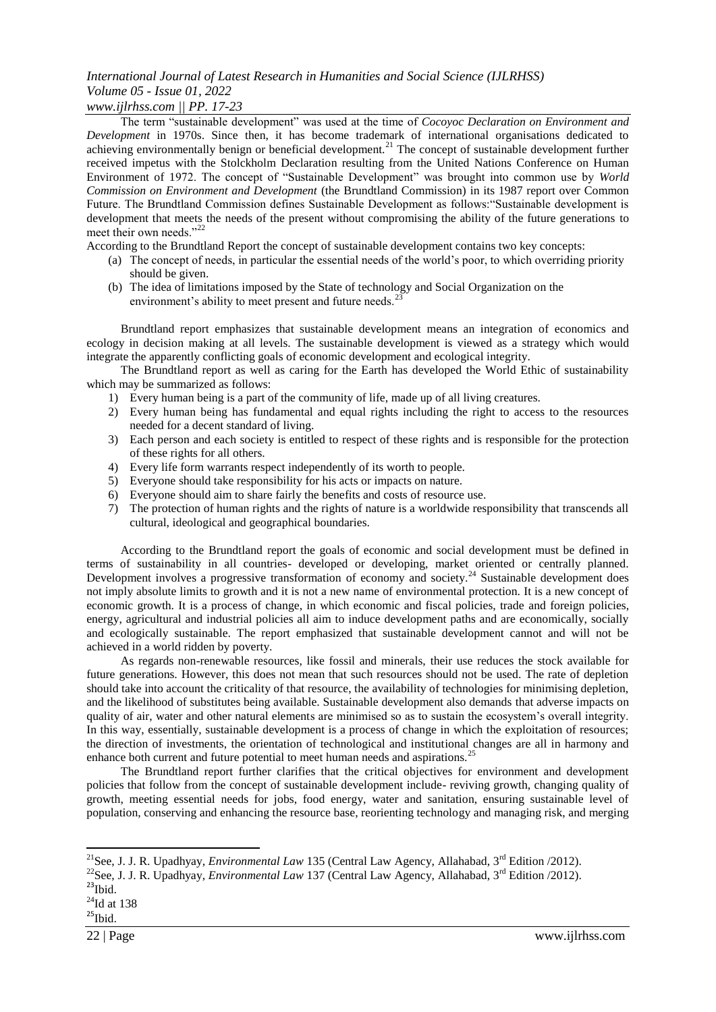### *International Journal of Latest Research in Humanities and Social Science (IJLRHSS) Volume 05 - Issue 01, 2022*

### *www.ijlrhss.com || PP. 17-23*

The term "sustainable development" was used at the time of *Cocoyoc Declaration on Environment and Development* in 1970s. Since then, it has become trademark of international organisations dedicated to achieving environmentally benign or beneficial development.<sup>21</sup> The concept of sustainable development further received impetus with the Stolckholm Declaration resulting from the United Nations Conference on Human Environment of 1972. The concept of "Sustainable Development" was brought into common use by *World Commission on Environment and Development* (the Brundtland Commission) in its 1987 report over Common Future. The Brundtland Commission defines Sustainable Development as follows:"Sustainable development is development that meets the needs of the present without compromising the ability of the future generations to meet their own needs."<sup>22</sup>

According to the Brundtland Report the concept of sustainable development contains two key concepts:

- (a) The concept of needs, in particular the essential needs of the world"s poor, to which overriding priority should be given.
- (b) The idea of limitations imposed by the State of technology and Social Organization on the environment's ability to meet present and future needs.<sup>23</sup>

Brundtland report emphasizes that sustainable development means an integration of economics and ecology in decision making at all levels. The sustainable development is viewed as a strategy which would integrate the apparently conflicting goals of economic development and ecological integrity.

The Brundtland report as well as caring for the Earth has developed the World Ethic of sustainability which may be summarized as follows:

- 1) Every human being is a part of the community of life, made up of all living creatures.
- 2) Every human being has fundamental and equal rights including the right to access to the resources needed for a decent standard of living.
- 3) Each person and each society is entitled to respect of these rights and is responsible for the protection of these rights for all others.
- 4) Every life form warrants respect independently of its worth to people.
- 5) Everyone should take responsibility for his acts or impacts on nature.
- 6) Everyone should aim to share fairly the benefits and costs of resource use.
- 7) The protection of human rights and the rights of nature is a worldwide responsibility that transcends all cultural, ideological and geographical boundaries.

According to the Brundtland report the goals of economic and social development must be defined in terms of sustainability in all countries- developed or developing, market oriented or centrally planned. Development involves a progressive transformation of economy and society.<sup>24</sup> Sustainable development does not imply absolute limits to growth and it is not a new name of environmental protection. It is a new concept of economic growth. It is a process of change, in which economic and fiscal policies, trade and foreign policies, energy, agricultural and industrial policies all aim to induce development paths and are economically, socially and ecologically sustainable. The report emphasized that sustainable development cannot and will not be achieved in a world ridden by poverty.

As regards non-renewable resources, like fossil and minerals, their use reduces the stock available for future generations. However, this does not mean that such resources should not be used. The rate of depletion should take into account the criticality of that resource, the availability of technologies for minimising depletion, and the likelihood of substitutes being available. Sustainable development also demands that adverse impacts on quality of air, water and other natural elements are minimised so as to sustain the ecosystem's overall integrity. In this way, essentially, sustainable development is a process of change in which the exploitation of resources; the direction of investments, the orientation of technological and institutional changes are all in harmony and enhance both current and future potential to meet human needs and aspirations.<sup>25</sup>

The Brundtland report further clarifies that the critical objectives for environment and development policies that follow from the concept of sustainable development include- reviving growth, changing quality of growth, meeting essential needs for jobs, food energy, water and sanitation, ensuring sustainable level of population, conserving and enhancing the resource base, reorienting technology and managing risk, and merging

1

<sup>&</sup>lt;sup>21</sup>See, J. J. R. Upadhyay, *Environmental Law* 135 (Central Law Agency, Allahabad, 3<sup>rd</sup> Edition /2012).

<sup>&</sup>lt;sup>22</sup>See, J. J. R. Upadhyay, *Environmental Law* 137 (Central Law Agency, Allahabad, 3<sup>rd</sup> Edition /2012).

 $^{23}$ Ibid.

 $\mathrm{^{24}Id}$  at 138

 $^{25}$ Ibid.